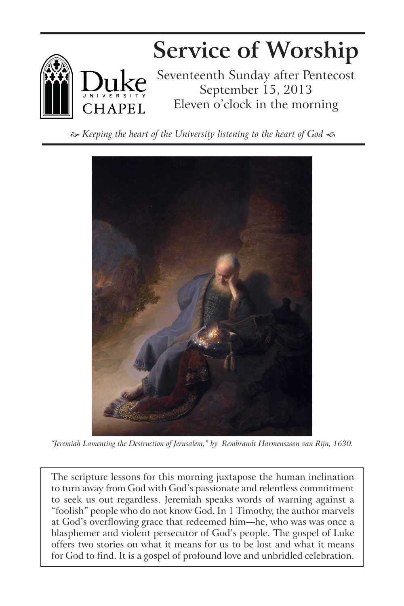

*Keeping the heart of the University listening to the heart of God* 



*"Jeremiah Lamenting the Destruction of Jerusalem," by Rembrandt Harmenszoon van Rijn, 1630.*

The scripture lessons for this morning juxtapose the human inclination to turn away from God with God's passionate and relentless commitment to seek us out regardless. Jeremiah speaks words of warning against a "foolish" people who do not know God. In 1 Timothy, the author marvels at God's overflowing grace that redeemed him—he, who was was once a blasphemer and violent persecutor of God's people. The gospel of Luke offers two stories on what it means for us to be lost and what it means for God to find. It is a gospel of profound love and unbridled celebration.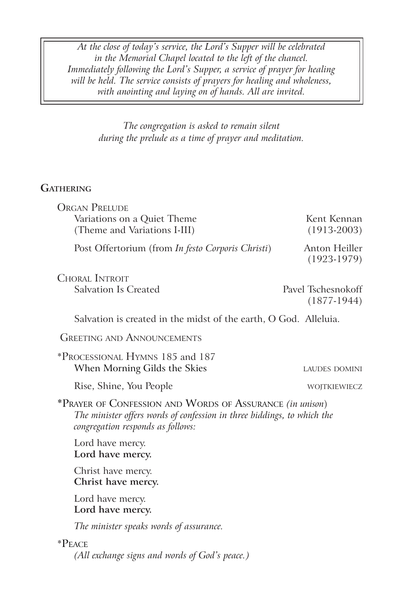*At the close of today's service, the Lord's Supper will be celebrated in the Memorial Chapel located to the left of the chancel. Immediately following the Lord's Supper, a service of prayer for healing will be held. The service consists of prayers for healing and wholeness, with anointing and laying on of hands. All are invited.* 

> *The congregation is asked to remain silent during the prelude as a time of prayer and meditation.*

# **Gathering**

| <b>ORGAN PRELUDE</b>                                                                                                                                                     |                                     |
|--------------------------------------------------------------------------------------------------------------------------------------------------------------------------|-------------------------------------|
| Variations on a Quiet Theme                                                                                                                                              | Kent Kennan                         |
| (Theme and Variations I-III)                                                                                                                                             | $(1913-2003)$                       |
| Post Offertorium (from In festo Corporis Christi)                                                                                                                        | Anton Heiller<br>$(1923-1979)$      |
| <b>CHORAL INTROIT</b>                                                                                                                                                    |                                     |
| <b>Salvation Is Created</b>                                                                                                                                              | Pavel Tschesnokoff<br>$(1877-1944)$ |
| Salvation is created in the midst of the earth, O God. Alleluia.                                                                                                         |                                     |
| <b>GREETING AND ANNOUNCEMENTS</b>                                                                                                                                        |                                     |
| *PROCESSIONAL HYMNS 185 and 187<br>When Morning Gilds the Skies                                                                                                          | <b>LAUDES DOMINI</b>                |
| Rise, Shine, You People                                                                                                                                                  | WOJTKIEWIECZ                        |
| *PRAYER OF CONFESSION AND WORDS OF ASSURANCE (in unison)<br>The minister offers words of confession in three biddings, to which the<br>congregation responds as follows: |                                     |
| Lord have mercy.<br>Lord have mercy.                                                                                                                                     |                                     |
| Christ have mercy.<br>Christ have mercy.                                                                                                                                 |                                     |
| Lord have mercy.<br>Lord have mercy.                                                                                                                                     |                                     |
| The minister speaks words of assurance.                                                                                                                                  |                                     |
| $P_{\text{EACE}}$                                                                                                                                                        |                                     |
| (All exchange signs and words of God's peace.)                                                                                                                           |                                     |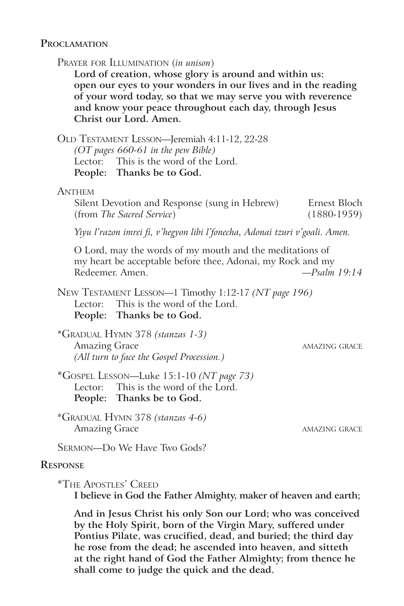## **Proclamation**

Prayer for Illumination (*in unison*)

**Lord of creation, whose glory is around and within us: open our eyes to your wonders in our lives and in the reading of your word today, so that we may serve you with reverence and know your peace throughout each day, through Jesus Christ our Lord. Amen.**

Old Testament Lesson—Jeremiah 4:11-12, 22-28

*(OT pages 660-61 in the pew Bible)* Lector: This is the word of the Lord. **People: Thanks be to God.**

#### **Anthem**

Silent Devotion and Response (sung in Hebrew) Ernest Bloch (from *The Sacred Service*) (1880-1959)

*Yiyu l'razon imrei fi, v'hegyon libi l'fonecha, Adonai tzuri v'goali. Amen.*

O Lord, may the words of my mouth and the meditations of my heart be acceptable before thee, Adonai, my Rock and my Redeemer. Amen. *—Psalm 19:14*

New Testament Lesson—1 Timothy 1:12-17 *(NT page 196)* Lector: This is the word of the Lord. **People: Thanks be to God.**

\*Gradual Hymn 378 *(stanzas 1-3)* Amazing Grace amazing Grace amazing Grace amazing Grace amazing  $\alpha$ *(All turn to face the Gospel Procession.)*

\*Gospel Lesson—Luke 15:1-10 *(NT page 73)* Lector: This is the word of the Lord. **People: Thanks be to God.**

\*Gradual Hymn 378 *(stanzas 4-6)* Amazing Grace amazing Grace amazing Grace amazing grace amazing  $\alpha$ 

Sermon—Do We Have Two Gods?

#### **Response**

\*The Apostles' Creed

**I believe in God the Father Almighty, maker of heaven and earth;** 

**And in Jesus Christ his only Son our Lord; who was conceived by the Holy Spirit, born of the Virgin Mary, suffered under Pontius Pilate, was crucified, dead, and buried; the third day he rose from the dead; he ascended into heaven, and sitteth at the right hand of God the Father Almighty; from thence he shall come to judge the quick and the dead.**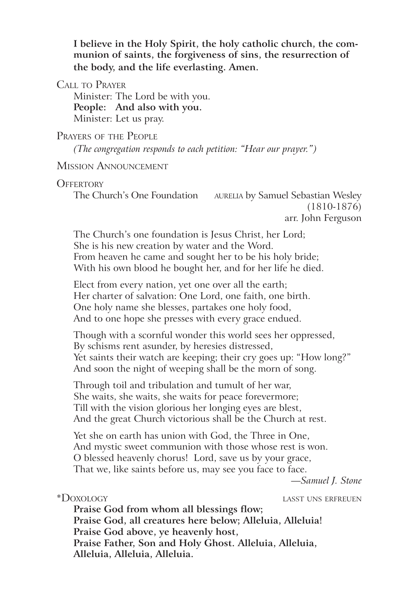**I believe in the Holy Spirit, the holy catholic church, the communion of saints, the forgiveness of sins, the resurrection of the body, and the life everlasting. Amen.**

Call to Prayer

Minister: The Lord be with you. **People: And also with you.** Minister: Let us pray.

## Prayers of the People

*(The congregation responds to each petition: "Hear our prayer.")*

## Mission Announcement

#### **OFFERTORY**

The Church's One Foundation AURELIA by Samuel Sebastian Wesley (1810-1876) arr. John Ferguson

The Church's one foundation is Jesus Christ, her Lord; She is his new creation by water and the Word. From heaven he came and sought her to be his holy bride; With his own blood he bought her, and for her life he died.

Elect from every nation, yet one over all the earth; Her charter of salvation: One Lord, one faith, one birth. One holy name she blesses, partakes one holy food, And to one hope she presses with every grace endued.

Though with a scornful wonder this world sees her oppressed, By schisms rent asunder, by heresies distressed, Yet saints their watch are keeping; their cry goes up: "How long?" And soon the night of weeping shall be the morn of song.

Through toil and tribulation and tumult of her war, She waits, she waits, she waits for peace forevermore; Till with the vision glorious her longing eyes are blest, And the great Church victorious shall be the Church at rest.

Yet she on earth has union with God, the Three in One, And mystic sweet communion with those whose rest is won. O blessed heavenly chorus! Lord, save us by your grace, That we, like saints before us, may see you face to face.

*—Samuel J. Stone*

\*Doxology lasst uns erfreuen

**Praise God from whom all blessings flow; Praise God, all creatures here below; Alleluia, Alleluia! Praise God above, ye heavenly host, Praise Father, Son and Holy Ghost. Alleluia, Alleluia, Alleluia, Alleluia, Alleluia.**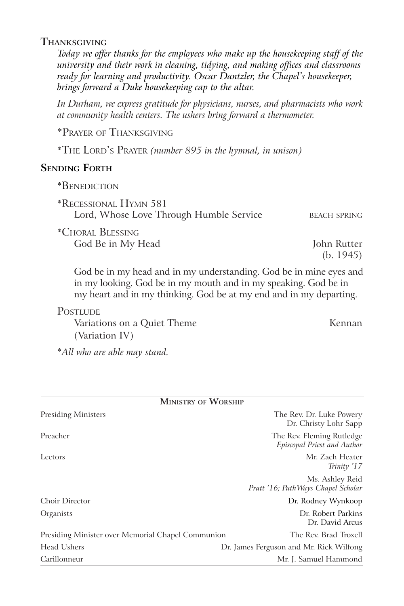# **Thanksgiving**

*Today we offer thanks for the employees who make up the housekeeping staff of the university and their work in cleaning, tidying, and making offices and classrooms ready for learning and productivity. Oscar Dantzler, the Chapel's housekeeper, brings forward a Duke housekeeping cap to the altar.*

*In Durham, we express gratitude for physicians, nurses, and pharmacists who work at community health centers. The ushers bring forward a thermometer.*

\*Prayer of Thanksgiving

\*The Lord's Prayer *(number 895 in the hymnal, in unison)*

# **SENDING FORTH**

| *BENEDICTION |
|--------------|
|--------------|

\*Recessional Hymn 581 Lord, Whose Love Through Humble Service BEACH SPRING

\*Choral Blessing God Be in My Head John Rutter

(b. 1945)

God be in my head and in my understanding. God be in mine eyes and in my looking. God be in my mouth and in my speaking. God be in my heart and in my thinking. God be at my end and in my departing.

## **POSTLUDE**

Variations on a Quiet Theme Kennan (Variation IV)

\**All who are able may stand.*

| <b>MINISTRY OF WORSHIP</b>                        |                                                          |
|---------------------------------------------------|----------------------------------------------------------|
| <b>Presiding Ministers</b>                        | The Rev. Dr. Luke Powery<br>Dr. Christy Lohr Sapp        |
| Preacher                                          | The Rev. Fleming Rutledge<br>Episcopal Priest and Author |
| Lectors                                           | Mr. Zach Heater<br>Trinity '17                           |
|                                                   | Ms. Ashley Reid<br>Pratt '16; PathWays Chapel Scholar    |
| <b>Choir Director</b>                             | Dr. Rodney Wynkoop                                       |
| Organists                                         | Dr. Robert Parkins<br>Dr. David Arcus                    |
| Presiding Minister over Memorial Chapel Communion | The Rev. Brad Troxell                                    |
| Head Ushers                                       | Dr. James Ferguson and Mr. Rick Wilfong                  |
| Carillonneur                                      | Mr. J. Samuel Hammond                                    |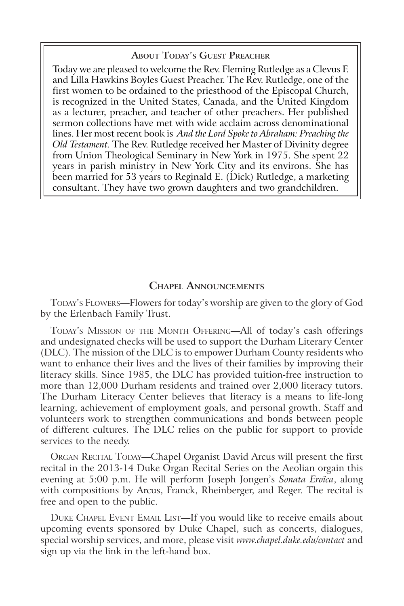#### **About Today's Guest Preacher**

Today we are pleased to welcome the Rev. Fleming Rutledge as a Clevus F. and Lilla Hawkins Boyles Guest Preacher. The Rev. Rutledge, one of the first women to be ordained to the priesthood of the Episcopal Church, is recognized in the United States, Canada, and the United Kingdom as a lecturer, preacher, and teacher of other preachers. Her published sermon collections have met with wide acclaim across denominational lines. Her most recent book is *And the Lord Spoke to Abraham: Preaching the Old Testament.* The Rev. Rutledge received her Master of Divinity degree from Union Theological Seminary in New York in 1975. She spent 22 years in parish ministry in New York City and its environs. She has been married for 53 years to Reginald E. (Dick) Rutledge, a marketing consultant. They have two grown daughters and two grandchildren.

### **Chapel Announcements**

TODAY's FLOWERS—Flowers for today's worship are given to the glory of God by the Erlenbach Family Trust.

TODAY's MISSION OF THE MONTH OFFERING-All of today's cash offerings and undesignated checks will be used to support the Durham Literary Center (DLC). The mission of the DLC is to empower Durham County residents who want to enhance their lives and the lives of their families by improving their literacy skills. Since 1985, the DLC has provided tuition-free instruction to more than 12,000 Durham residents and trained over 2,000 literacy tutors. The Durham Literacy Center believes that literacy is a means to life-long learning, achievement of employment goals, and personal growth. Staff and volunteers work to strengthen communications and bonds between people of different cultures. The DLC relies on the public for support to provide services to the needy.

ORGAN RECITAL TODAY—Chapel Organist David Arcus will present the first recital in the 2013-14 Duke Organ Recital Series on the Aeolian orgain this evening at 5:00 p.m. He will perform Joseph Jongen's *Sonata Eroïca*, along with compositions by Arcus, Franck, Rheinberger, and Reger. The recital is free and open to the public.

DUKE CHAPEL EVENT EMAIL LIST-If you would like to receive emails about upcoming events sponsored by Duke Chapel, such as concerts, dialogues, special worship services, and more, please visit *www.chapel.duke.edu/contact* and sign up via the link in the left-hand box.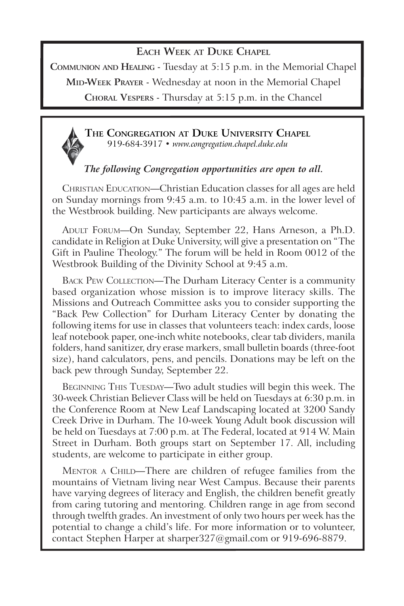# **Each Week at Duke Chapel**

**Communion and Healing** - Tuesday at 5:15 p.m. in the Memorial Chapel

**MID-WEEK PRAYER** - Wednesday at noon in the Memorial Chapel

**Choral Vespers** - Thursday at 5:15 p.m. in the Chancel

**The Congregation at Duke University Chapel** 919-684-3917 • *www.congregation.chapel.duke.edu*

# *The following Congregation opportunities are open to all.*

Christian Education—Christian Education classes for all ages are held on Sunday mornings from 9:45 a.m. to 10:45 a.m. in the lower level of the Westbrook building. New participants are always welcome.

ADULT FORUM—On Sunday, September 22, Hans Arneson, a Ph.D. candidate in Religion at Duke University, will give a presentation on "The Gift in Pauline Theology." The forum will be held in Room 0012 of the Westbrook Building of the Divinity School at 9:45 a.m.

BACK PEW COLLECTION—The Durham Literacy Center is a community based organization whose mission is to improve literacy skills. The Missions and Outreach Committee asks you to consider supporting the "Back Pew Collection" for Durham Literacy Center by donating the following items for use in classes that volunteers teach: index cards, loose leaf notebook paper, one-inch white notebooks, clear tab dividers, manila folders, hand sanitizer, dry erase markers, small bulletin boards (three-foot size), hand calculators, pens, and pencils. Donations may be left on the back pew through Sunday, September 22.

BEGINNING THIS TUESDAY—Two adult studies will begin this week. The 30-week Christian Believer Class will be held on Tuesdays at 6:30 p.m. in the Conference Room at New Leaf Landscaping located at 3200 Sandy Creek Drive in Durham. The 10-week Young Adult book discussion will be held on Tuesdays at 7:00 p.m. at The Federal, located at 914 W. Main Street in Durham. Both groups start on September 17. All, including students, are welcome to participate in either group.

MENTOR A CHILD—There are children of refugee families from the mountains of Vietnam living near West Campus. Because their parents have varying degrees of literacy and English, the children benefit greatly from caring tutoring and mentoring. Children range in age from second through twelfth grades. An investment of only two hours per week has the potential to change a child's life. For more information or to volunteer, contact Stephen Harper at sharper327@gmail.com or 919-696-8879.